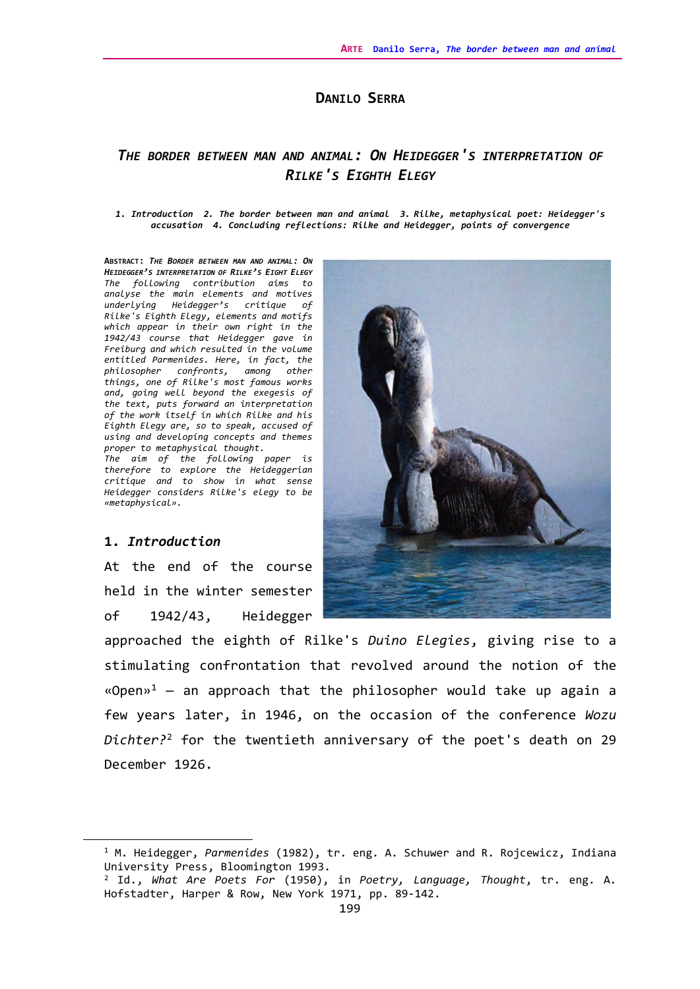### **DANILO SERRA**

## *THE BORDER BETWEEN MAN AND ANIMAL: ON HEIDEGGER'S INTERPRETATION OF RILKE'S EIGHTH ELEGY*

#### *1. Introduction 2. The border between man and animal 3. Rilke, metaphysical poet: Heidegger's accusation 4. Concluding reflections: Rilke and Heidegger, points of convergence*

**ABSTRACT:** *THE BORDER BETWEEN MAN AND ANIMAL: ON HEIDEGGER'S INTERPRETATION OF RILKE'S EIGHT ELEGY The following contribution aims to analyse the main elements and motives underlying Heidegger's critique of Rilke's Eighth Elegy, elements and motifs which appear in their own right in the 1942/43 course that Heidegger gave in Freiburg and which resulted in the volume entitled Parmenides. Here, in fact, the philosopher confronts, among other things, one of Rilke's most famous works and, going well beyond the exegesis of the text, puts forward an interpretation of the work itself in which Rilke and his Eighth Elegy are, so to speak, accused of using and developing concepts and themes proper to metaphysical thought.* 

*The aim of the following paper is therefore to explore the Heideggerian critique and to show in what sense Heidegger considers Rilke's elegy to be «metaphysical».* 

#### **1.** *Introduction*

At the end of the course held in the winter semester of 1942/43, Heidegger





<span id="page-0-0"></span><sup>1</sup> M. Heidegger, *Parmenides* (1982), tr. eng. A. Schuwer and R. Rojcewicz, Indiana University Press, Bloomington 1993.

<span id="page-0-1"></span><sup>2</sup> Id., *What Are Poets For* (1950), in *Poetry, Language, Thought*, tr. eng. A. Hofstadter, Harper & Row, New York 1971, pp. 89-142.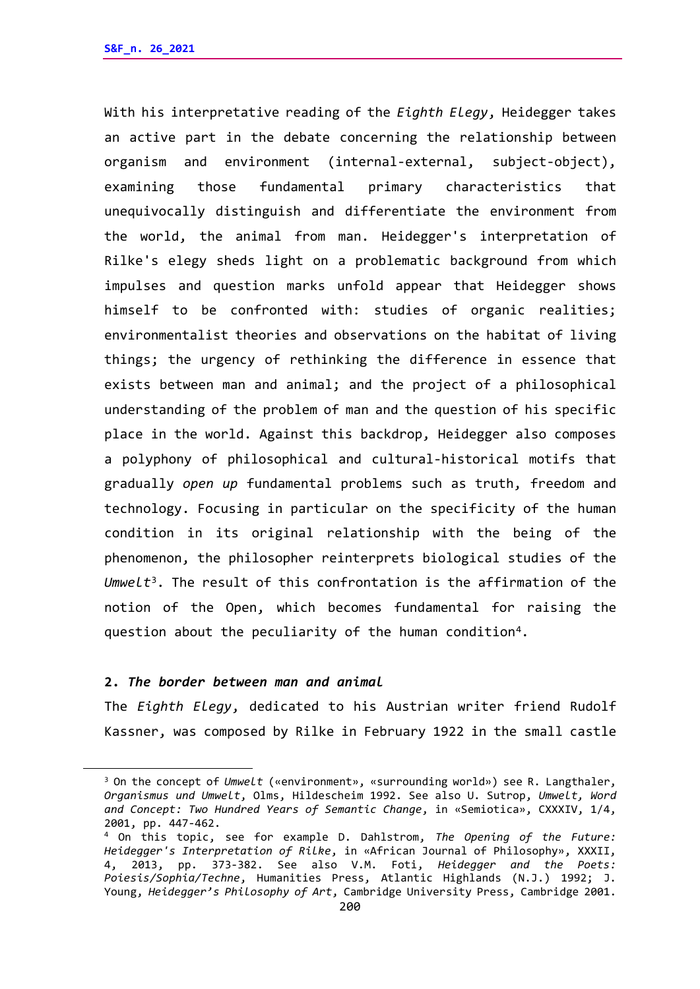With his interpretative reading of the *Eighth Elegy*, Heidegger takes an active part in the debate concerning the relationship between organism and environment (internal-external, subject-object), examining those fundamental primary characteristics that unequivocally distinguish and differentiate the environment from the world, the animal from man. Heidegger's interpretation of Rilke's elegy sheds light on a problematic background from which impulses and question marks unfold appear that Heidegger shows himself to be confronted with: studies of organic realities; environmentalist theories and observations on the habitat of living things; the urgency of rethinking the difference in essence that exists between man and animal; and the project of a philosophical understanding of the problem of man and the question of his specific place in the world. Against this backdrop, Heidegger also composes a polyphony of philosophical and cultural-historical motifs that gradually *open up* fundamental problems such as truth, freedom and technology. Focusing in particular on the specificity of the human condition in its original relationship with the being of the phenomenon, the philosopher reinterprets biological studies of the *Umwelt*[3](#page-1-0). The result of this confrontation is the affirmation of the notion of the Open, which becomes fundamental for raising the question about the peculiarity of the human condition<sup>4</sup>.

### **2.** *The border between man and animal*

The *Eighth Elegy*, dedicated to his Austrian writer friend Rudolf Kassner, was composed by Rilke in February 1922 in the small castle

<span id="page-1-0"></span><sup>3</sup> On the concept of *Umwelt* («environment», «surrounding world») see R. Langthaler, *Organismus und Umwelt*, Olms, Hildescheim 1992. See also U. Sutrop, *Umwelt, Word and Concept: Two Hundred Years of Semantic Change*, in «Semiotica», CXXXIV, 1/4, 2001, pp. 447-462.

<span id="page-1-1"></span><sup>4</sup> On this topic, see for example D. Dahlstrom, *The Opening of the Future: Heidegger's Interpretation of Rilke*, in «African Journal of Philosophy», XXXII, 4, 2013, pp. 373-382. See also V.M. Foti, *Heidegger and the Poets: Poiesis/Sophia/Techne*, Humanities Press, Atlantic Highlands (N.J.) 1992; J. Young, *Heidegger's Philosophy of Art*, Cambridge University Press, Cambridge 2001.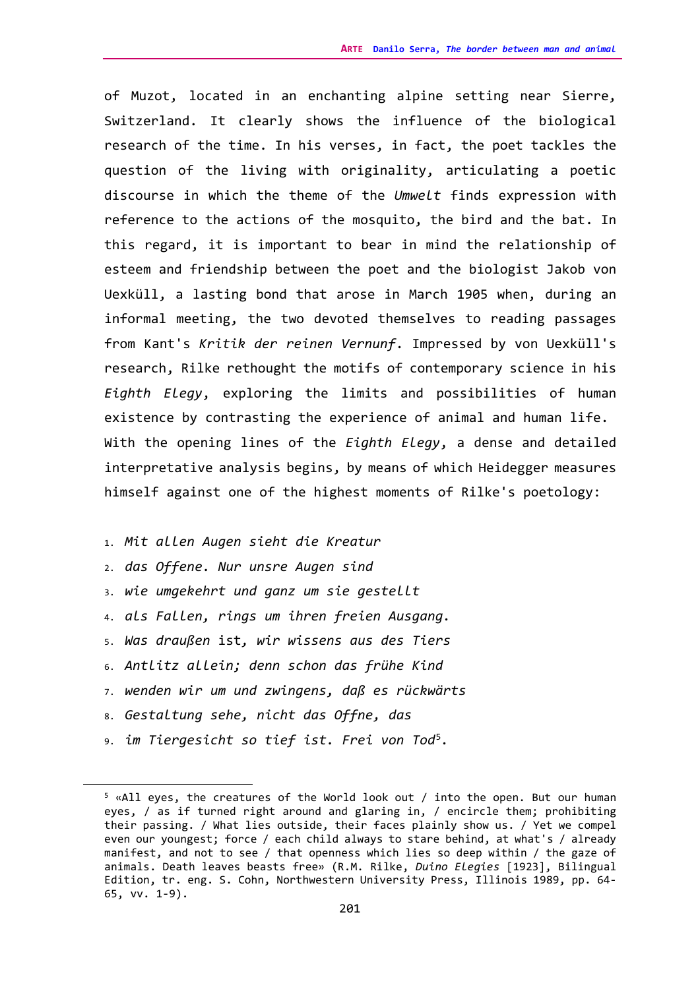of Muzot, located in an enchanting alpine setting near Sierre, Switzerland. It clearly shows the influence of the biological research of the time. In his verses, in fact, the poet tackles the question of the living with originality, articulating a poetic discourse in which the theme of the *Umwelt* finds expression with reference to the actions of the mosquito, the bird and the bat. In this regard, it is important to bear in mind the relationship of esteem and friendship between the poet and the biologist Jakob von Uexküll, a lasting bond that arose in March 1905 when, during an informal meeting, the two devoted themselves to reading passages from Kant's *Kritik der reinen Vernunf*. Impressed by von Uexküll's research, Rilke rethought the motifs of contemporary science in his *Eighth Elegy*, exploring the limits and possibilities of human existence by contrasting the experience of animal and human life. With the opening lines of the *Eighth Elegy*, a dense and detailed interpretative analysis begins, by means of which Heidegger measures himself against one of the highest moments of Rilke's poetology:

- 1. *Mit allen Augen sieht die Kreatur*
- 2. *das Offene. Nur unsre Augen sind*
- 3. *wie umgekehrt und ganz um sie gestellt*
- 4. *als Fallen, rings um ihren freien Ausgang.*
- 5. *Was draußen* ist*, wir wissens aus des Tiers*
- 6. *Antlitz allein; denn schon das frühe Kind*
- 7. *wenden wir um und zwingens, daß es rückwärts*
- 8. *Gestaltung sehe, nicht das Offne, das*
- 9. *im Tiergesicht so tief ist. Frei von Tod*[5](#page-2-0)*.*

<span id="page-2-0"></span><sup>5</sup> «All eyes, the creatures of the World look out / into the open. But our human eyes, / as if turned right around and glaring in, / encircle them; prohibiting their passing. / What lies outside, their faces plainly show us. / Yet we compel even our youngest; force / each child always to stare behind, at what's / already manifest, and not to see / that openness which lies so deep within / the gaze of animals. Death leaves beasts free» (R.M. Rilke, *Duino Elegies* [1923], Bilingual Edition, tr. eng. S. Cohn, Northwestern University Press, Illinois 1989, pp. 64- 65, vv. 1-9).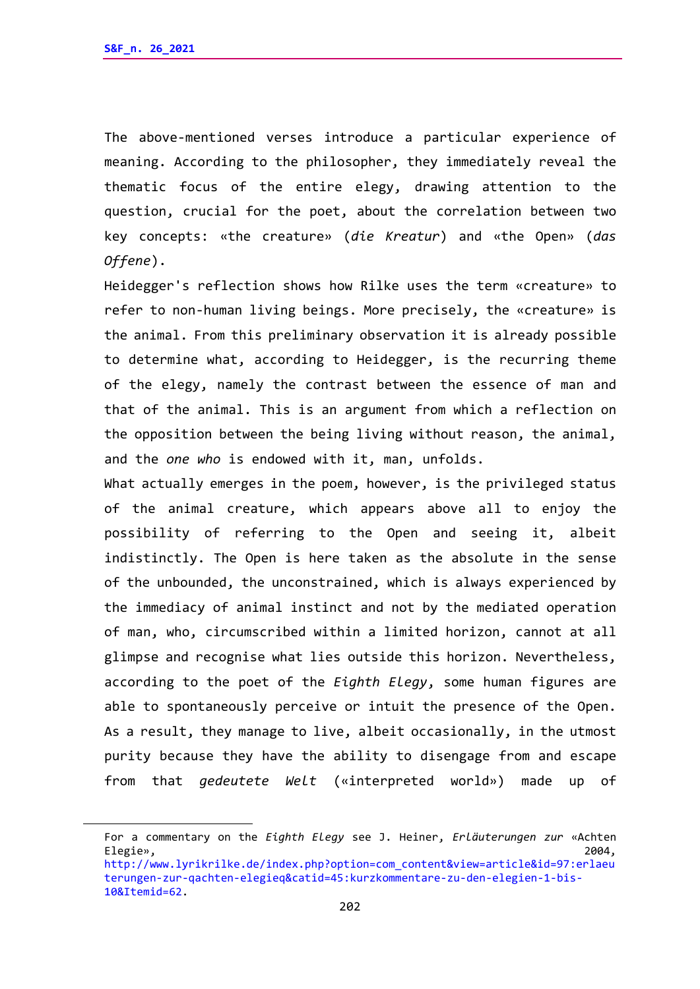The above-mentioned verses introduce a particular experience of meaning. According to the philosopher, they immediately reveal the thematic focus of the entire elegy, drawing attention to the question, crucial for the poet, about the correlation between two key concepts: «the creature» (*die Kreatur*) and «the Open» (*das Offene*).

Heidegger's reflection shows how Rilke uses the term «creature» to refer to non-human living beings. More precisely, the «creature» is the animal. From this preliminary observation it is already possible to determine what, according to Heidegger, is the recurring theme of the elegy, namely the contrast between the essence of man and that of the animal. This is an argument from which a reflection on the opposition between the being living without reason, the animal, and the *one who* is endowed with it, man, unfolds.

What actually emerges in the poem, however, is the privileged status of the animal creature, which appears above all to enjoy the possibility of referring to the Open and seeing it, albeit indistinctly. The Open is here taken as the absolute in the sense of the unbounded, the unconstrained, which is always experienced by the immediacy of animal instinct and not by the mediated operation of man, who, circumscribed within a limited horizon, cannot at all glimpse and recognise what lies outside this horizon. Nevertheless, according to the poet of the *Eighth Elegy*, some human figures are able to spontaneously perceive or intuit the presence of the Open. As a result, they manage to live, albeit occasionally, in the utmost purity because they have the ability to disengage from and escape from that *gedeutete Welt* («interpreted world») made up of

For a commentary on the *Eighth Elegy* see J. Heiner, *Erläuterungen zur* «Achten Elegie», 2004, [http://www.lyrikrilke.de/index.php?option=com\\_content&view=article&id=97:erlaeu](http://www.lyrikrilke.de/index.php?option=com_content&view=article&id=97:erlaeuterungen-zur-qachten-elegieq&catid=45:kurzkommentare-zu-den-elegien-1-bis-10&Itemid=62)

[terungen-zur-qachten-elegieq&catid=45:kurzkommentare-zu-den-elegien-1-bis-](http://www.lyrikrilke.de/index.php?option=com_content&view=article&id=97:erlaeuterungen-zur-qachten-elegieq&catid=45:kurzkommentare-zu-den-elegien-1-bis-10&Itemid=62)[10&Itemid=62.](http://www.lyrikrilke.de/index.php?option=com_content&view=article&id=97:erlaeuterungen-zur-qachten-elegieq&catid=45:kurzkommentare-zu-den-elegien-1-bis-10&Itemid=62)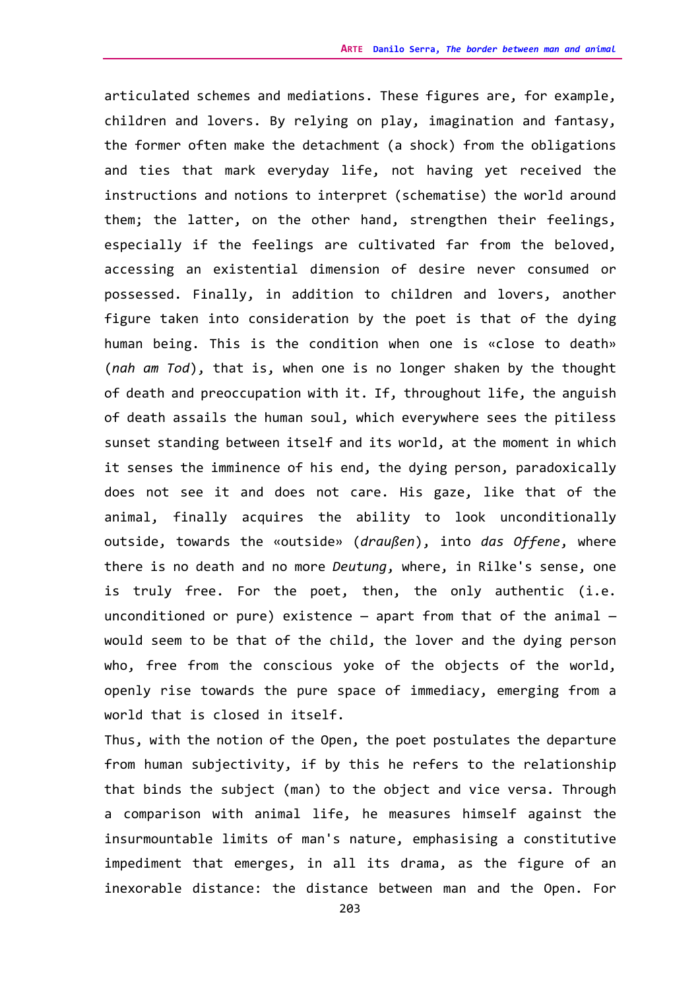articulated schemes and mediations. These figures are, for example, children and lovers. By relying on play, imagination and fantasy, the former often make the detachment (a shock) from the obligations and ties that mark everyday life, not having yet received the instructions and notions to interpret (schematise) the world around them; the latter, on the other hand, strengthen their feelings, especially if the feelings are cultivated far from the beloved, accessing an existential dimension of desire never consumed or possessed. Finally, in addition to children and lovers, another figure taken into consideration by the poet is that of the dying human being. This is the condition when one is «close to death» (*nah am Tod*), that is, when one is no longer shaken by the thought of death and preoccupation with it. If, throughout life, the anguish of death assails the human soul, which everywhere sees the pitiless sunset standing between itself and its world, at the moment in which it senses the imminence of his end, the dying person, paradoxically does not see it and does not care. His gaze, like that of the animal, finally acquires the ability to look unconditionally outside, towards the «outside» (*draußen*), into *das Offene*, where there is no death and no more *Deutung*, where, in Rilke's sense, one is truly free. For the poet, then, the only authentic (i.e. unconditioned or pure) existence  $-$  apart from that of the animal  $$ would seem to be that of the child, the lover and the dying person who, free from the conscious yoke of the objects of the world, openly rise towards the pure space of immediacy, emerging from a world that is closed in itself.

Thus, with the notion of the Open, the poet postulates the departure from human subjectivity, if by this he refers to the relationship that binds the subject (man) to the object and vice versa. Through a comparison with animal life, he measures himself against the insurmountable limits of man's nature, emphasising a constitutive impediment that emerges, in all its drama, as the figure of an inexorable distance: the distance between man and the Open. For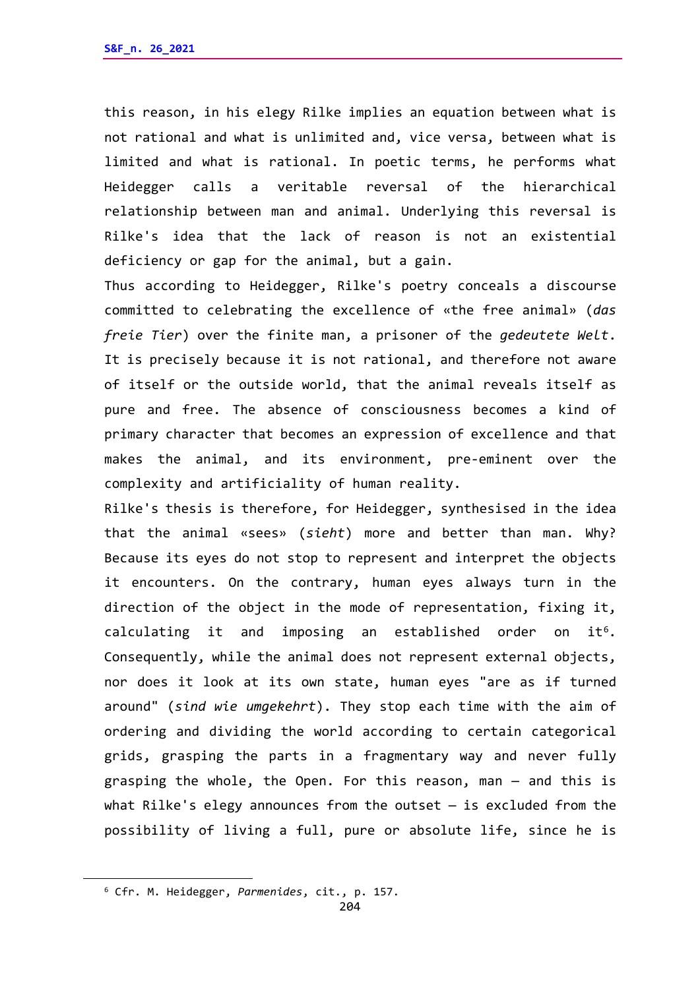this reason, in his elegy Rilke implies an equation between what is not rational and what is unlimited and, vice versa, between what is limited and what is rational. In poetic terms, he performs what Heidegger calls a veritable reversal of the hierarchical relationship between man and animal. Underlying this reversal is Rilke's idea that the lack of reason is not an existential deficiency or gap for the animal, but a gain.

Thus according to Heidegger, Rilke's poetry conceals a discourse committed to celebrating the excellence of «the free animal» (*das freie Tier*) over the finite man, a prisoner of the *gedeutete Welt*. It is precisely because it is not rational, and therefore not aware of itself or the outside world, that the animal reveals itself as pure and free. The absence of consciousness becomes a kind of primary character that becomes an expression of excellence and that makes the animal, and its environment, pre-eminent over the complexity and artificiality of human reality.

Rilke's thesis is therefore, for Heidegger, synthesised in the idea that the animal «sees» (*sieht*) more and better than man. Why? Because its eyes do not stop to represent and interpret the objects it encounters. On the contrary, human eyes always turn in the direction of the object in the mode of representation, fixing it, calculating it and imposing an established order on  $it<sup>6</sup>$ . Consequently, while the animal does not represent external objects, nor does it look at its own state, human eyes "are as if turned around" (*sind wie umgekehrt*). They stop each time with the aim of ordering and dividing the world according to certain categorical grids, grasping the parts in a fragmentary way and never fully grasping the whole, the Open. For this reason, man — and this is what Rilke's elegy announces from the outset — is excluded from the possibility of living a full, pure or absolute life, since he is

<span id="page-5-0"></span><sup>6</sup> Cfr. M. Heidegger, *Parmenides*, cit., p. 157.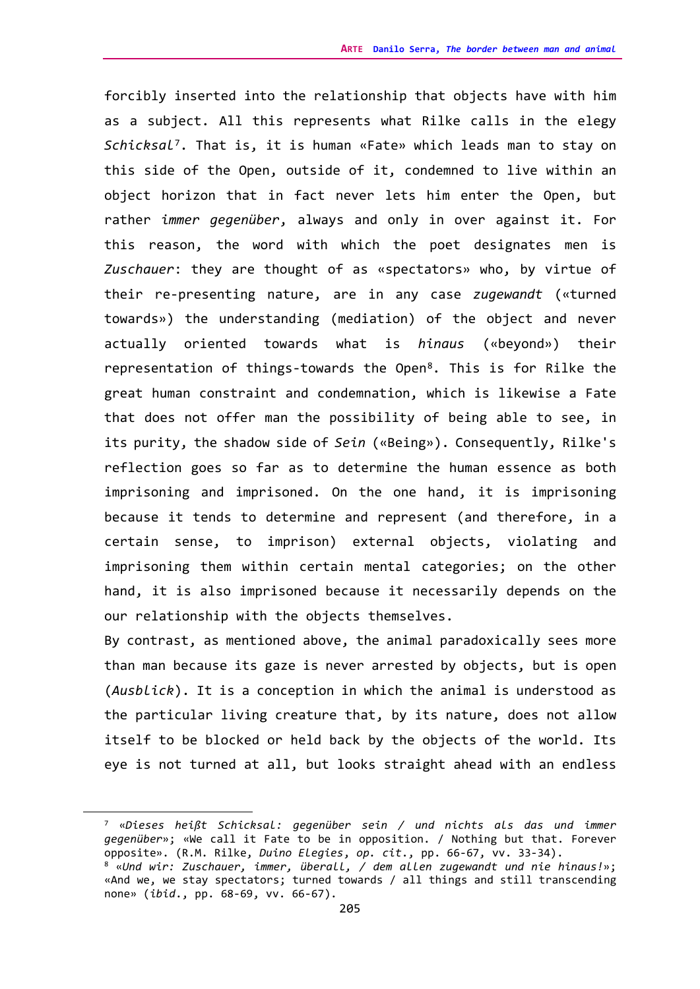forcibly inserted into the relationship that objects have with him as a subject. All this represents what Rilke calls in the elegy *Schicksal*[7](#page-6-0). That is, it is human «Fate» which leads man to stay on this side of the Open, outside of it, condemned to live within an object horizon that in fact never lets him enter the Open, but rather *immer gegenüber*, always and only in over against it. For this reason, the word with which the poet designates men is *Zuschauer*: they are thought of as «spectators» who, by virtue of their re-presenting nature, are in any case *zugewandt* («turned towards») the understanding (mediation) of the object and never actually oriented towards what is *hinaus* («beyond») their representation of things-towards the Open[8](#page-6-1). This is for Rilke the great human constraint and condemnation, which is likewise a Fate that does not offer man the possibility of being able to see, in its purity, the shadow side of *Sein* («Being»). Consequently, Rilke's reflection goes so far as to determine the human essence as both imprisoning and imprisoned. On the one hand, it is imprisoning because it tends to determine and represent (and therefore, in a certain sense, to imprison) external objects, violating and imprisoning them within certain mental categories; on the other hand, it is also imprisoned because it necessarily depends on the our relationship with the objects themselves.

By contrast, as mentioned above, the animal paradoxically sees more than man because its gaze is never arrested by objects, but is open (*Ausblick*). It is a conception in which the animal is understood as the particular living creature that, by its nature, does not allow itself to be blocked or held back by the objects of the world. Its eye is not turned at all, but looks straight ahead with an endless

<span id="page-6-1"></span><span id="page-6-0"></span><sup>7 «</sup>*Dieses heißt Schicksal: gegenüber sein / und nichts als das und immer gegenüber*»; «We call it Fate to be in opposition. / Nothing but that. Forever opposite». (R.M. Rilke, *Duino Elegies*, *op. cit*., pp. 66-67, vv. 33-34). 8 «*Und wir: Zuschauer, immer, überall, / dem allen zugewandt und nie hinaus!*»; «And we, we stay spectators; turned towards / all things and still transcending none» (*ibid*., pp. 68-69, vv. 66-67).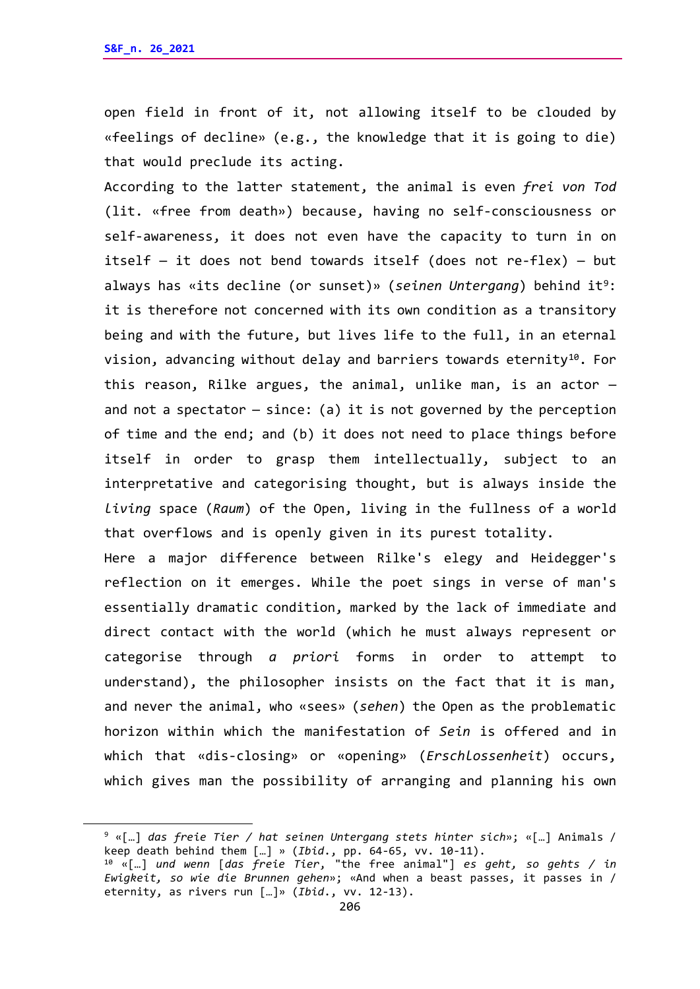open field in front of it, not allowing itself to be clouded by «feelings of decline» (e.g., the knowledge that it is going to die) that would preclude its acting.

According to the latter statement, the animal is even *frei von Tod* (lit. «free from death») because, having no self-consciousness or self-awareness, it does not even have the capacity to turn in on itself — it does not bend towards itself (does not re-flex) — but always has «its decline (or sunset)» (*seinen Untergang*) behind it<sup>9</sup>: it is therefore not concerned with its own condition as a transitory being and with the future, but lives life to the full, in an eternal vision, advancing without delay and barriers towards eternity<sup>10</sup>. For this reason, Rilke argues, the animal, unlike man, is an actor and not a spectator  $-$  since: (a) it is not governed by the perception of time and the end; and (b) it does not need to place things before itself in order to grasp them intellectually, subject to an interpretative and categorising thought, but is always inside the *living* space (*Raum*) of the Open, living in the fullness of a world that overflows and is openly given in its purest totality. Here a major difference between Rilke's elegy and Heidegger's

reflection on it emerges. While the poet sings in verse of man's essentially dramatic condition, marked by the lack of immediate and direct contact with the world (which he must always represent or categorise through *a priori* forms in order to attempt to understand), the philosopher insists on the fact that it is man, and never the animal, who «sees» (*sehen*) the Open as the problematic horizon within which the manifestation of *Sein* is offered and in which that «dis-closing» or «opening» (*Erschlossenheit*) occurs, which gives man the possibility of arranging and planning his own

<span id="page-7-0"></span><sup>9</sup> «[…] *das freie Tier / hat seinen Untergang stets hinter sich*»; «[…] Animals / keep death behind them […] » (*Ibid*., pp. 64-65, vv. 10-11).

<span id="page-7-1"></span><sup>10</sup> «[…] *und wenn* [*das freie Tier*, "the free animal"] *es geht, so gehts / in Ewigkeit, so wie die Brunnen gehen*»; «And when a beast passes, it passes in / eternity, as rivers run […]» (*Ibid*., vv. 12-13).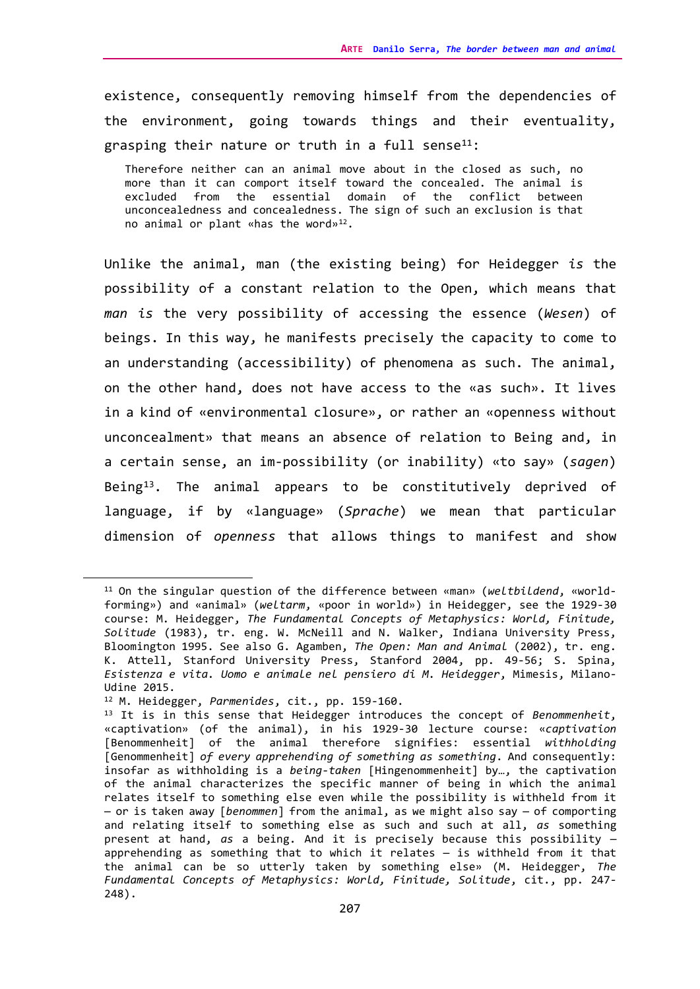existence, consequently removing himself from the dependencies of the environment, going towards things and their eventuality, grasping their nature or truth in a full sense $11$ :

Therefore neither can an animal move about in the closed as such, no more than it can comport itself toward the concealed. The animal is excluded from the essential domain of the conflict between unconcealedness and concealedness. The sign of such an exclusion is that no animal or plant «has the word»[12](#page-8-1).

Unlike the animal, man (the existing being) for Heidegger *is* the possibility of a constant relation to the Open, which means that *man is* the very possibility of accessing the essence (*Wesen*) of beings. In this way, he manifests precisely the capacity to come to an understanding (accessibility) of phenomena as such. The animal, on the other hand, does not have access to the «as such». It lives in a kind of «environmental closure», or rather an «openness without unconcealment» that means an absence of relation to Being and, in a certain sense, an im-possibility (or inability) «to say» (*sagen*) Being $13$ . The animal appears to be constitutively deprived of language, if by «language» (*Sprache*) we mean that particular dimension of *openness* that allows things to manifest and show

<span id="page-8-0"></span><sup>11</sup> On the singular question of the difference between «man» (*weltbildend*, «worldforming») and «animal» (*weltarm*, «poor in world») in Heidegger, see the 1929-30 course: M. Heidegger, *The Fundamental Concepts of Metaphysics: World, Finitude, Solitude* (1983), tr. eng. W. McNeill and N. Walker, Indiana University Press, Bloomington 1995. See also G. Agamben, *The Open: Man and Animal* (2002), tr. eng. K. Attell, Stanford University Press, Stanford 2004, pp. 49-56; S. Spina, *Esistenza e vita. Uomo e animale nel pensiero di M. Heidegger*, Mimesis, Milano-Udine 2015.

<span id="page-8-1"></span><sup>12</sup> M. Heidegger, *Parmenides*, cit., pp. 159-160.

<span id="page-8-2"></span><sup>13</sup> It is in this sense that Heidegger introduces the concept of *Benommenheit*, «captivation» (of the animal), in his 1929-30 lecture course: «*captivation* [Benommenheit] of the animal therefore signifies: essential *withholding* [Genommenheit] *of every apprehending of something as something*. And consequently: insofar as withholding is a *being-taken* [Hingenommenheit] by…, the captivation of the animal characterizes the specific manner of being in which the animal relates itself to something else even while the possibility is withheld from it — or is taken away [*benommen*] from the animal, as we might also say — of comporting and relating itself to something else as such and such at all, *as* something present at hand, *as* a being. And it is precisely because this possibility apprehending as something that to which it relates — is withheld from it that the animal can be so utterly taken by something else» (M. Heidegger, *The Fundamental Concepts of Metaphysics: World, Finitude, Solitude*, cit., pp. 247- 248).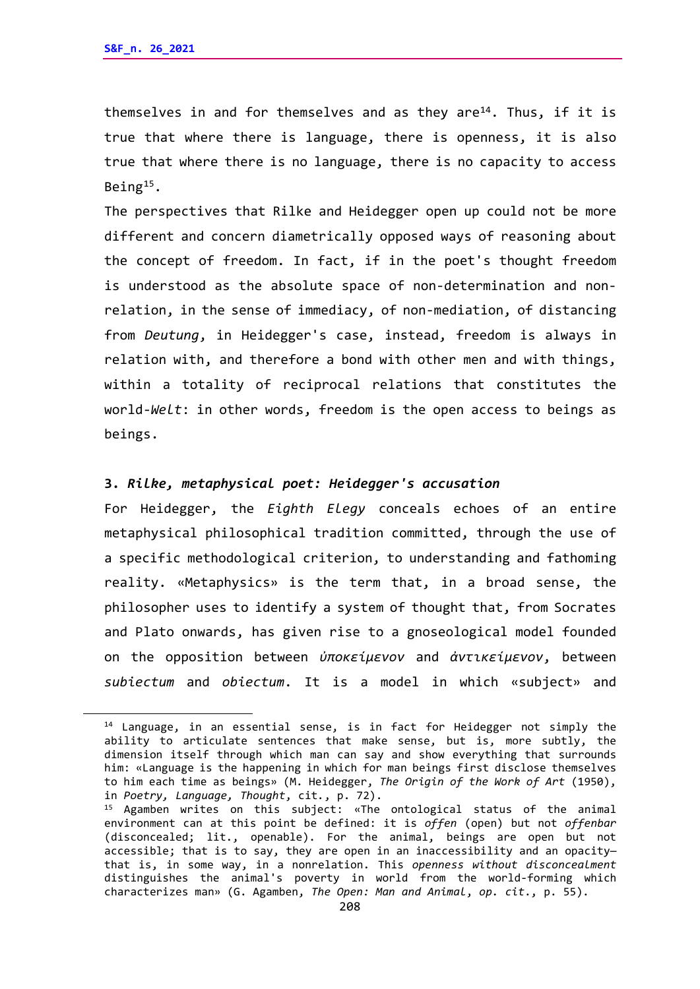themselves in and for themselves and as they are<sup>14</sup>. Thus, if it is true that where there is language, there is openness, it is also true that where there is no language, there is no capacity to access Being[15](#page-9-1).

The perspectives that Rilke and Heidegger open up could not be more different and concern diametrically opposed ways of reasoning about the concept of freedom. In fact, if in the poet's thought freedom is understood as the absolute space of non-determination and nonrelation, in the sense of immediacy, of non-mediation, of distancing from *Deutung*, in Heidegger's case, instead, freedom is always in relation with, and therefore a bond with other men and with things, within a totality of reciprocal relations that constitutes the world-*Welt*: in other words, freedom is the open access to beings as beings.

## **3.** *Rilke, metaphysical poet: Heidegger's accusation*

For Heidegger, the *Eighth Elegy* conceals echoes of an entire metaphysical philosophical tradition committed, through the use of a specific methodological criterion, to understanding and fathoming reality. «Metaphysics» is the term that, in a broad sense, the philosopher uses to identify a system of thought that, from Socrates and Plato onwards, has given rise to a gnoseological model founded on the opposition between *ὐποκείμενον* and *ἀντικείμενον*, between *subiectum* and *obiectum*. It is a model in which «subject» and

<span id="page-9-0"></span><sup>&</sup>lt;sup>14</sup> Language, in an essential sense, is in fact for Heidegger not simply the ability to articulate sentences that make sense, but is, more subtly, the dimension itself through which man can say and show everything that surrounds him: «Language is the happening in which for man beings first disclose themselves to him each time as beings» (M. Heidegger, *The Origin of the Work of Art* (1950),

<span id="page-9-1"></span><sup>&</sup>lt;sup>15</sup> Agamben writes on this subject: «The ontological status of the animal environment can at this point be defined: it is *offen* (open) but not *offenbar* (disconcealed; lit., openable). For the animal, beings are open but not accessible; that is to say, they are open in an inaccessibility and an opacity that is, in some way, in a nonrelation. This *openness without disconcealment* distinguishes the animal's poverty in world from the world-forming which characterizes man» (G. Agamben, *The Open: Man and Animal*, *op. cit*., p. 55).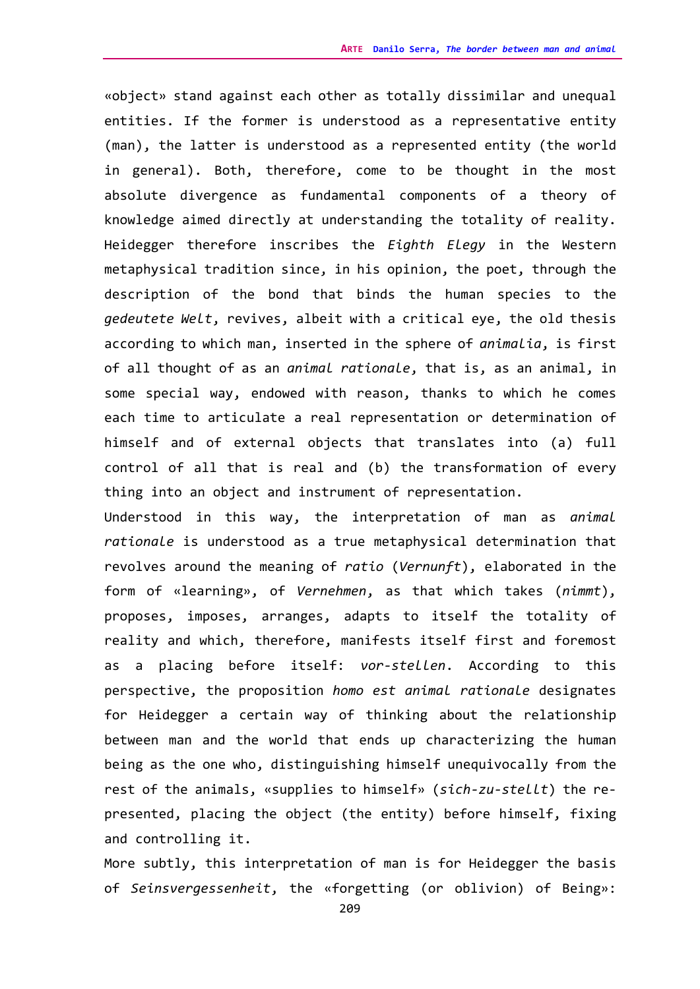«object» stand against each other as totally dissimilar and unequal entities. If the former is understood as a representative entity (man), the latter is understood as a represented entity (the world in general). Both, therefore, come to be thought in the most absolute divergence as fundamental components of a theory of knowledge aimed directly at understanding the totality of reality. Heidegger therefore inscribes the *Eighth Elegy* in the Western metaphysical tradition since, in his opinion, the poet, through the description of the bond that binds the human species to the *gedeutete Welt*, revives, albeit with a critical eye, the old thesis according to which man, inserted in the sphere of *animalia*, is first of all thought of as an *animal rationale*, that is, as an animal, in some special way, endowed with reason, thanks to which he comes each time to articulate a real representation or determination of himself and of external objects that translates into (a) full control of all that is real and (b) the transformation of every thing into an object and instrument of representation.

Understood in this way, the interpretation of man as *animal rationale* is understood as a true metaphysical determination that revolves around the meaning of *ratio* (*Vernunft*), elaborated in the form of «learning», of *Vernehmen*, as that which takes (*nimmt*), proposes, imposes, arranges, adapts to itself the totality of reality and which, therefore, manifests itself first and foremost as a placing before itself: *vor-stellen*. According to this perspective, the proposition *homo est animal rationale* designates for Heidegger a certain way of thinking about the relationship between man and the world that ends up characterizing the human being as the one who, distinguishing himself unequivocally from the rest of the animals, «supplies to himself» (*sich-zu-stellt*) the represented, placing the object (the entity) before himself, fixing and controlling it.

More subtly, this interpretation of man is for Heidegger the basis of *Seinsvergessenheit*, the «forgetting (or oblivion) of Being»: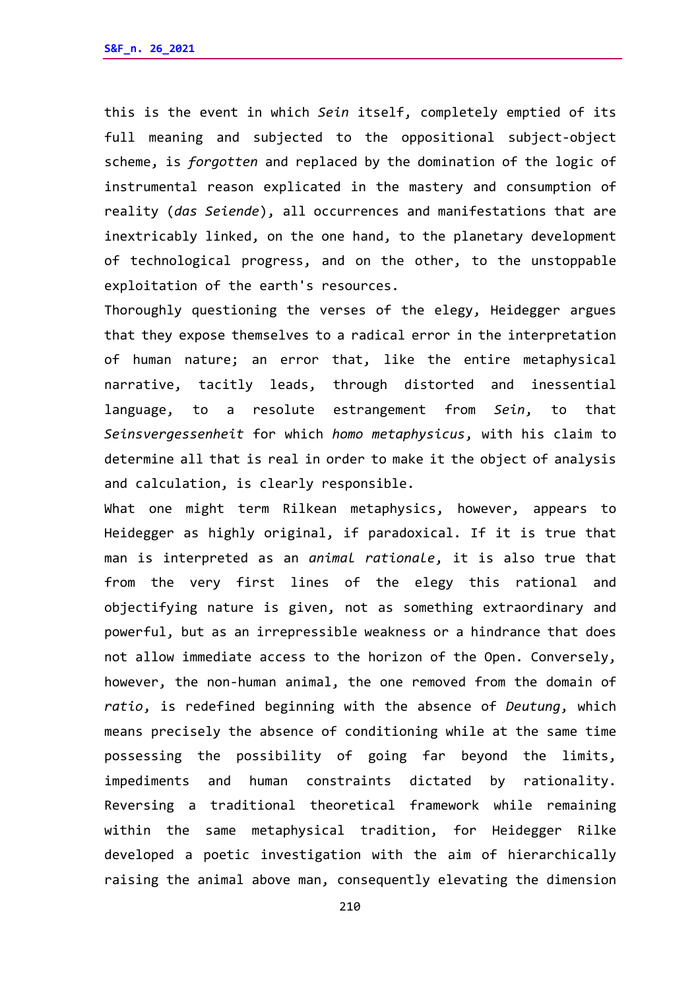this is the event in which *Sein* itself, completely emptied of its full meaning and subjected to the oppositional subject-object scheme, is *forgotten* and replaced by the domination of the logic of instrumental reason explicated in the mastery and consumption of reality (*das Seiende*), all occurrences and manifestations that are inextricably linked, on the one hand, to the planetary development of technological progress, and on the other, to the unstoppable exploitation of the earth's resources.

Thoroughly questioning the verses of the elegy, Heidegger argues that they expose themselves to a radical error in the interpretation of human nature; an error that, like the entire metaphysical narrative, tacitly leads, through distorted and inessential language, to a resolute estrangement from *Sein*, to that *Seinsvergessenheit* for which *homo metaphysicus*, with his claim to determine all that is real in order to make it the object of analysis and calculation, is clearly responsible.

What one might term Rilkean metaphysics, however, appears to Heidegger as highly original, if paradoxical. If it is true that man is interpreted as an *animal rationale*, it is also true that from the very first lines of the elegy this rational and objectifying nature is given, not as something extraordinary and powerful, but as an irrepressible weakness or a hindrance that does not allow immediate access to the horizon of the Open. Conversely, however, the non-human animal, the one removed from the domain of *ratio*, is redefined beginning with the absence of *Deutung*, which means precisely the absence of conditioning while at the same time possessing the possibility of going far beyond the limits, impediments and human constraints dictated by rationality. Reversing a traditional theoretical framework while remaining within the same metaphysical tradition, for Heidegger Rilke developed a poetic investigation with the aim of hierarchically raising the animal above man, consequently elevating the dimension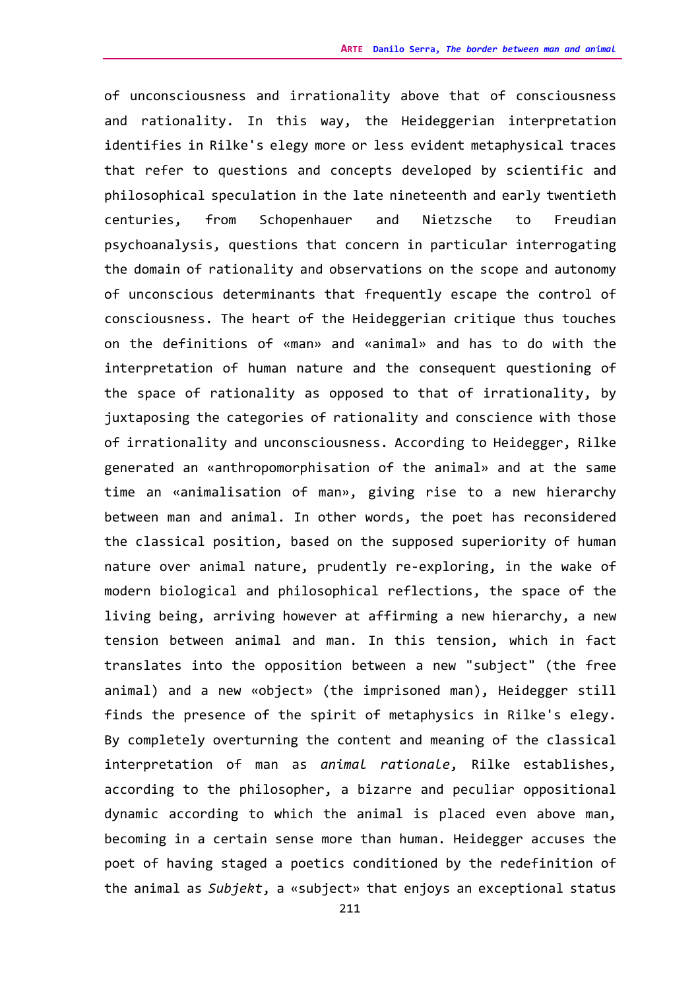of unconsciousness and irrationality above that of consciousness and rationality. In this way, the Heideggerian interpretation identifies in Rilke's elegy more or less evident metaphysical traces that refer to questions and concepts developed by scientific and philosophical speculation in the late nineteenth and early twentieth centuries, from Schopenhauer and Nietzsche to Freudian psychoanalysis, questions that concern in particular interrogating the domain of rationality and observations on the scope and autonomy of unconscious determinants that frequently escape the control of consciousness. The heart of the Heideggerian critique thus touches on the definitions of «man» and «animal» and has to do with the interpretation of human nature and the consequent questioning of the space of rationality as opposed to that of irrationality, by juxtaposing the categories of rationality and conscience with those of irrationality and unconsciousness. According to Heidegger, Rilke generated an «anthropomorphisation of the animal» and at the same time an «animalisation of man», giving rise to a new hierarchy between man and animal. In other words, the poet has reconsidered the classical position, based on the supposed superiority of human nature over animal nature, prudently re-exploring, in the wake of modern biological and philosophical reflections, the space of the living being, arriving however at affirming a new hierarchy, a new tension between animal and man. In this tension, which in fact translates into the opposition between a new "subject" (the free animal) and a new «object» (the imprisoned man), Heidegger still finds the presence of the spirit of metaphysics in Rilke's elegy. By completely overturning the content and meaning of the classical interpretation of man as *animal rationale*, Rilke establishes, according to the philosopher, a bizarre and peculiar oppositional dynamic according to which the animal is placed even above man, becoming in a certain sense more than human. Heidegger accuses the poet of having staged a poetics conditioned by the redefinition of the animal as *Subjekt*, a «subject» that enjoys an exceptional status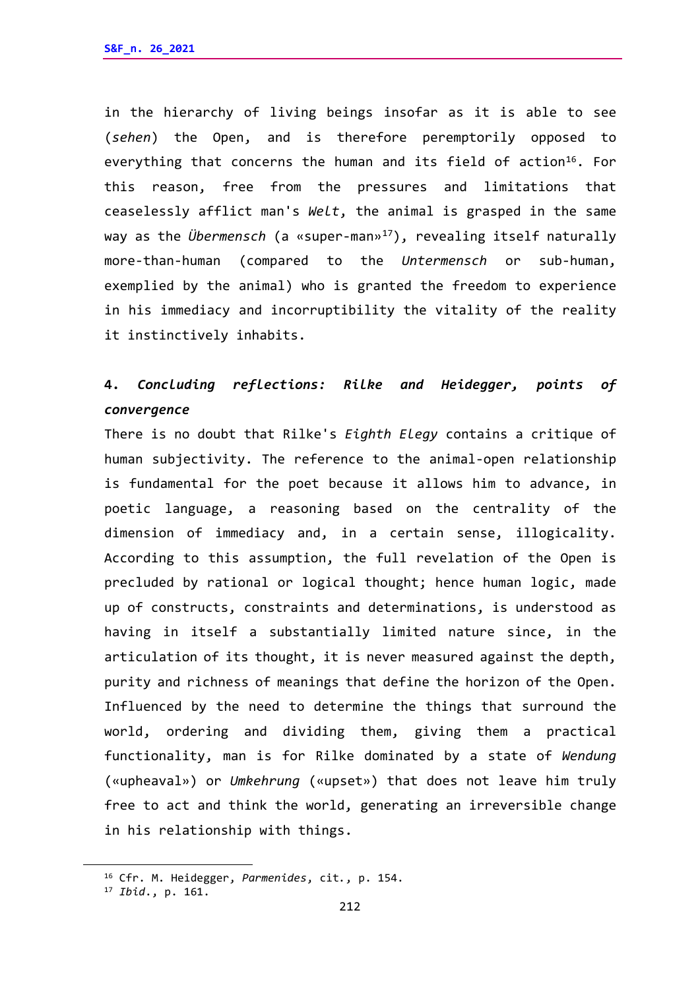in the hierarchy of living beings insofar as it is able to see (*sehen*) the Open, and is therefore peremptorily opposed to everything that concerns the human and its field of action<sup>[16](#page-13-0)</sup>. For this reason, free from the pressures and limitations that ceaselessly afflict man's *Welt*, the animal is grasped in the same way as the *Übermensch* (a «super-man»[17](#page-13-1)), revealing itself naturally more-than-human (compared to the *Untermensch* or sub-human, exemplied by the animal) who is granted the freedom to experience in his immediacy and incorruptibility the vitality of the reality it instinctively inhabits.

# **4.** *Concluding reflections: Rilke and Heidegger, points of convergence*

There is no doubt that Rilke's *Eighth Elegy* contains a critique of human subjectivity. The reference to the animal-open relationship is fundamental for the poet because it allows him to advance, in poetic language, a reasoning based on the centrality of the dimension of immediacy and, in a certain sense, illogicality. According to this assumption, the full revelation of the Open is precluded by rational or logical thought; hence human logic, made up of constructs, constraints and determinations, is understood as having in itself a substantially limited nature since, in the articulation of its thought, it is never measured against the depth, purity and richness of meanings that define the horizon of the Open. Influenced by the need to determine the things that surround the world, ordering and dividing them, giving them a practical functionality, man is for Rilke dominated by a state of *Wendung* («upheaval») or *Umkehrung* («upset») that does not leave him truly free to act and think the world, generating an irreversible change in his relationship with things.

<span id="page-13-0"></span><sup>16</sup> Cfr. M. Heidegger, *Parmenides*, cit*.*, p. 154.

<span id="page-13-1"></span><sup>17</sup> *Ibid*., p. 161.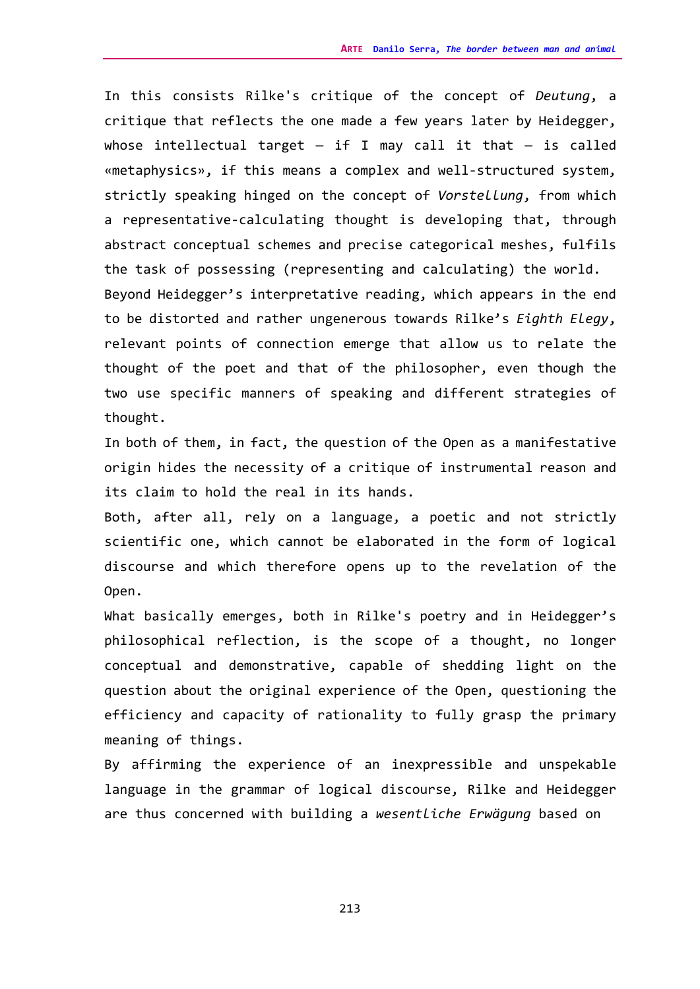In this consists Rilke's critique of the concept of *Deutung*, a critique that reflects the one made a few years later by Heidegger, whose intellectual target  $-$  if I may call it that  $-$  is called «metaphysics», if this means a complex and well-structured system, strictly speaking hinged on the concept of *Vorstellung*, from which a representative-calculating thought is developing that, through abstract conceptual schemes and precise categorical meshes, fulfils the task of possessing (representing and calculating) the world. Beyond Heidegger's interpretative reading, which appears in the end to be distorted and rather ungenerous towards Rilke's *Eighth Elegy*, relevant points of connection emerge that allow us to relate the thought of the poet and that of the philosopher, even though the two use specific manners of speaking and different strategies of thought.

In both of them, in fact, the question of the Open as a manifestative origin hides the necessity of a critique of instrumental reason and its claim to hold the real in its hands.

Both, after all, rely on a language, a poetic and not strictly scientific one, which cannot be elaborated in the form of logical discourse and which therefore opens up to the revelation of the Open.

What basically emerges, both in Rilke's poetry and in Heidegger's philosophical reflection, is the scope of a thought, no longer conceptual and demonstrative, capable of shedding light on the question about the original experience of the Open, questioning the efficiency and capacity of rationality to fully grasp the primary meaning of things.

By affirming the experience of an inexpressible and unspekable language in the grammar of logical discourse, Rilke and Heidegger are thus concerned with building a *wesentliche Erwägung* based on